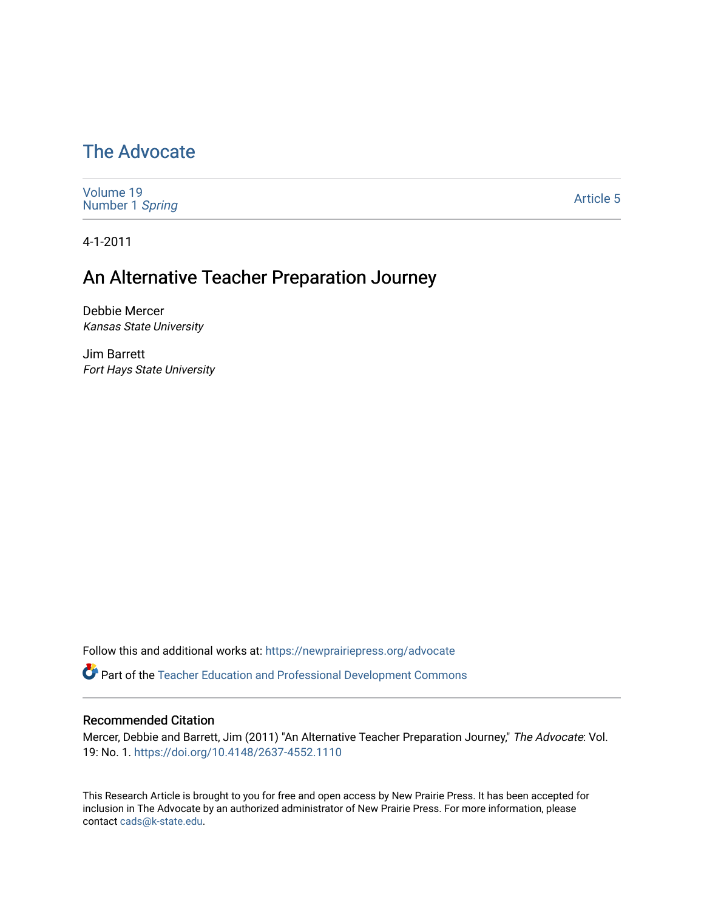# [The Advocate](https://newprairiepress.org/advocate)

[Volume 19](https://newprairiepress.org/advocate/vol19) [Number 1](https://newprairiepress.org/advocate/vol19/iss1) Spring

[Article 5](https://newprairiepress.org/advocate/vol19/iss1/5) 

4-1-2011

# An Alternative Teacher Preparation Journey

Debbie Mercer Kansas State University

Jim Barrett Fort Hays State University

Follow this and additional works at: [https://newprairiepress.org/advocate](https://newprairiepress.org/advocate?utm_source=newprairiepress.org%2Fadvocate%2Fvol19%2Fiss1%2F5&utm_medium=PDF&utm_campaign=PDFCoverPages) 

**Part of the Teacher Education and Professional Development Commons** 

### Recommended Citation

Mercer, Debbie and Barrett, Jim (2011) "An Alternative Teacher Preparation Journey," The Advocate: Vol. 19: No. 1. <https://doi.org/10.4148/2637-4552.1110>

This Research Article is brought to you for free and open access by New Prairie Press. It has been accepted for inclusion in The Advocate by an authorized administrator of New Prairie Press. For more information, please contact [cads@k-state.edu](mailto:cads@k-state.edu).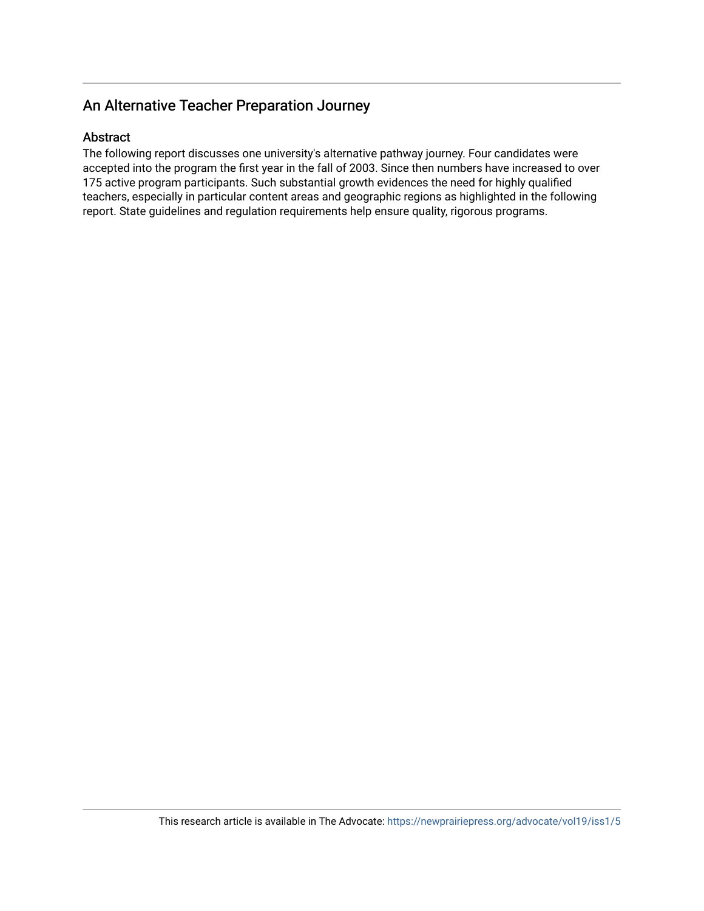## An Alternative Teacher Preparation Journey

### Abstract

The following report discusses one university's alternative pathway journey. Four candidates were accepted into the program the first year in the fall of 2003. Since then numbers have increased to over 175 active program participants. Such substantial growth evidences the need for highly qualified teachers, especially in particular content areas and geographic regions as highlighted in the following report. State guidelines and regulation requirements help ensure quality, rigorous programs.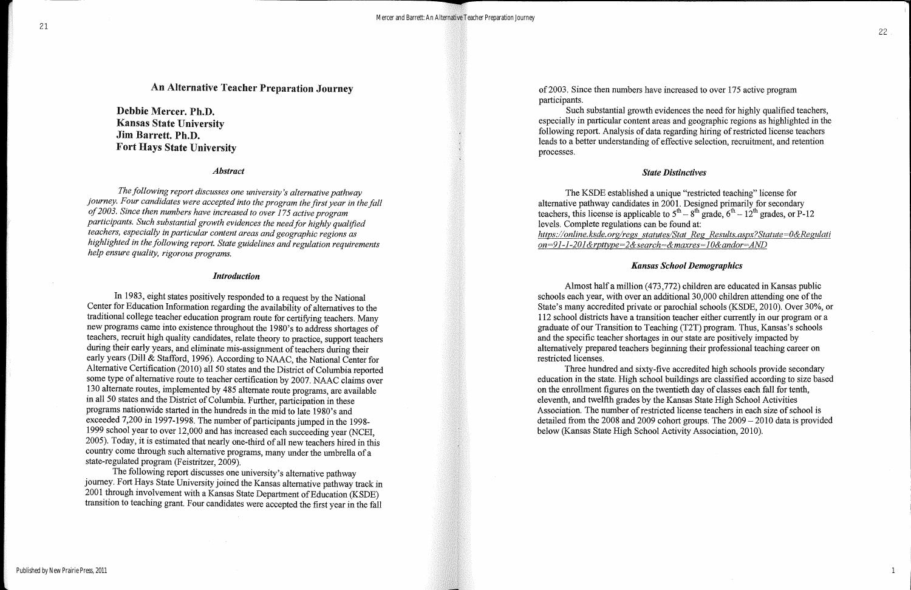## An Alternative Teacher Preparation Journey

Debbie Mercer. Ph.D. Kansas State University Jim Barrett. Ph.D. Fort Hays State University

### *Abstract*

*The following report discusses one university's alternative pathway journey. Four candidates were accepted into the program the first year in the fall of2003. Since then numbers have increased to over* 175 *active program participants. Such substantial growth evidences the needfor highly qualified teachers, especially in particular content areas and geographic regions as highlighted in the following report. State guidelines and regulation requirements help ensure quality, rigorous programs.*

### *Introduction*

In 1983, eight states positively responded to a request by the National Center for Education Information regarding the availability of alternatives to the traditional college teacher education program route for certifying teachers. Many new programs came into existence throughout the 1980's to address shortages of teachers, recruit high quality candidates, relate theory to practice, support teachers during their early years, and eliminate mis-assignment of teachers during their early years (Dill & Stafford, 1996). According to NAAC, the National Center for Alternative Certification (2010) all 50 states and the District of Columbia reported some type of alternative route to teacher certification by 2007. NAAC claims over 130 alternate routes, implemented by 485 alternate route programs, are available in all 50 states and the District of Columbia. Further, participation in these programs nationwide started in the hundreds in the mid to late 1980's and exceeded 7,200 in 1997-1998. The number of participants jumped in the 1998-1999 school year to over 12,000 and has increased each succeeding year (NCE!, 2005). Today, it is estimated that nearly one-third of all new teachers hired in this country come through such alternative programs, many under the umbrella of a state-regulated program (Feistritzer, 2009).

The following report discusses one university's alternative pathway journey. Fort Hays State University joined the Kansas alternative pathway track in 2001 through involvement with a Kansas State Department of Education (KSDE) transition to teaching grant. Four candidates were accepted the first year in the fall

of2003. Since then numbers have increased to over 175 active program participants.

Such substantial growth evidences the need for highly qualified teachers, especially in particular content areas and geographic regions as highlighted in the following report. Analysis of data regarding hiring of restricted license teachers leads to a better understanding of effective selection, recruitment, and retention processes.

### *State Distinctives*

The KSDE established a unique "restricted teaching" license for alternative pathway candidates in 2001. Designed primarily for secondary teachers, this license is applicable to  $5<sup>th</sup> - 8<sup>th</sup>$  grade,  $6<sup>th</sup> - 12<sup>th</sup>$  grades, or P-12 levels. Complete regulations can be found at: *https://online.ksde.org/regs statutes/Stat Reg Results.asp.x.?Statute=O&Regulati on=91-1-201&rpttype=2&search=&maxres==10&andor=AND*

### *Kansas School Demographics*

Almost half a million (473,772) children are educated in Kansas public schools each year, with over an additional 30,000 children attending one of the State's many accredited private or parochial schools (KSDE, 2010). Over 30%, or 112 school districts have a transition teacher either currently in our program or a graduate of our Transition to Teaching (T2T) program. Thus, Kansas's schools and the specific teacher shortages in our state are positively impacted by alternatively prepared teachers beginning their professional teaching career on restricted licenses.

Three hundred and sixty-five accredited high schools provide secondary education in the state. High school buildings are classified according to size based on the enrollment figures on the twentieth day of classes each fall for tenth, eleventh, and twelfth grades by the Kansas State High School Activities Association. The number of restricted license teachers in each size of school is detailed from the 2008 and 2009 cohort groups. The 2009 - 2010 data is provided below (Kansas State High School Activity Association, 2010).

1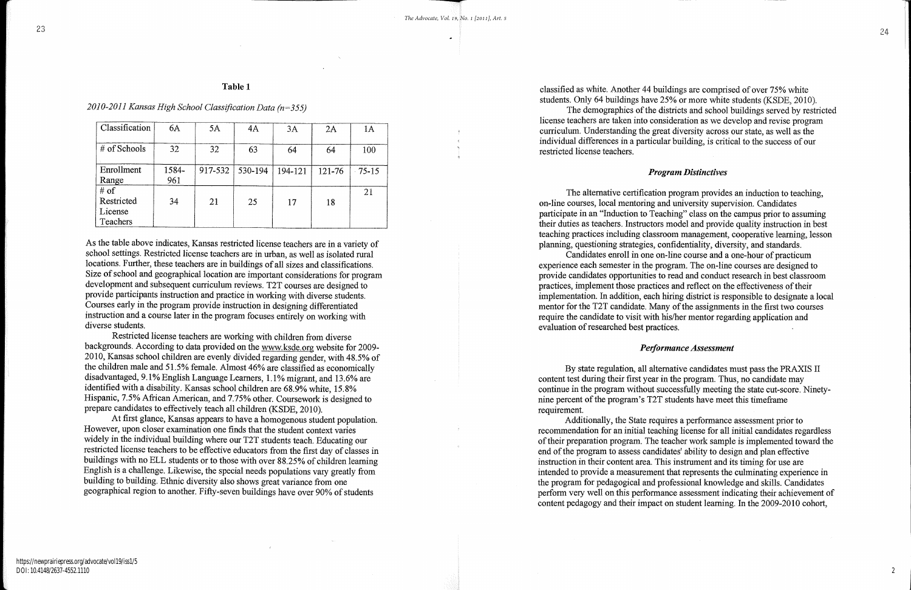### Table 1

*2010-2011 Kansas High School Classification Data (n=355)*

| Classification                            | 6A           | 5A      | 4A      | 3A      | 2A     | 1A        |
|-------------------------------------------|--------------|---------|---------|---------|--------|-----------|
| # of Schools                              | 32           | 32      | 63      | 64      | 64     | 100       |
| Enrollment<br>Range                       | 1584-<br>961 | 917-532 | 530-194 | 194-121 | 121-76 | $75 - 15$ |
| # of<br>Restricted<br>License<br>Teachers | 34           | 21      | 25      | 17      | 18     | 21        |

As the table above indicates, Kansas restricted license teachers are in a variety of school settings. Restricted license teachers are in urban, as well as isolated rural locations. Further, these teachers are in buildings of all sizes and classifications. Size of school and geographical location are important considerations for program development and subsequent curriculum reviews. T2T courses are designed to provide participants instruction and practice in working with diverse students. Courses early in the program provide instruction in designing differentiated instruction and a course later in the program focuses entirely on working with diverse students.

At first glance, Kansas appears to have a homogenous student population. However, upon closer examination one finds that the student context varies widely in the individual building where our T2T students teach. Educating our restricted license teachers to be effective educators from the first day of classes in buildings with no ELL students or to those with over 88.25% of children learning English is a challenge. Likewise, the special needs populations vary greatly from building to building. Ethnic diversity also shows great variance from one geographical region to another. Fifty-seven buildings have over 90% of students

Restricted license teachers are working with children from diverse backgrounds. According to data provided on the www.ksde.org website for 2009- 2010, Kansas school children are evenly divided regarding gender, with 48.5% of the children male and 51.5% female. Almost 46% are classified as economically disadvantaged, 9.1% English Language Learners, 1.1% migrant, and 13.6% are identified with a disability. Kansas school children are 68.9% white, 15.8% Hispanic, 7.5% African American, and 7.75% other. Coursework is designed to prepare candidates to effectively teach all children (KSDE, 2010).

The alternative certification program provides an induction to teaching, Candidates enroll in one on-line course and a one-hour of practicum

on-line courses, local mentoring and university supervision. Candidates participate in an "Induction to Teaching" class on the campus prior to assuming their duties as teachers. Instructors model and provide quality instruction in best teaching practices including classroom management, cooperative learning, lesson planning, questioning strategies, confidentiality, diversity, and standards. experience each semester in the program. The on-line courses are designed to provide candidates opportunities to read and conduct research in best classroom practices, implement those practices and reflect on the effectiveness of their implementation. In addition, each hiring district is responsible to designate a local mentor for the T2T candidate. Many of the assignments in the first two courses require the candidate to visit with his/her mentor regarding application and evaluation of researched best practices.

classified as white. Another 44 buildings are comprised of over 75% white students. Only 64 buildings have 25% or more white students (KSDE, 2010). The demographics of the districts and school buildings served by restricted license teachers are taken into consideration as we develop and revise program curriculum. Understanding the great diversity across our state, as well as the individual differences in a particular building, is critical to the success of our

restricted license teachers.

### *Program Distinctives*

### *Performance Assessment*

By state regulation, all alternative candidates must pass the PRAXIS II content test during their first year in the program. Thus, no candidate may continue in the program without successfully meeting the state cut-score. Ninetynine percent of the program's T2T students have meet this timeframe requirement.

Additionally, the State requires a performance assessment prior to recommendation for an initial teaching license for all initial candidates regardless of their preparation program. The teacher work sample is implemented toward the end ofthe program to assess candidates' ability to design and plan effective instruction in their content area. This instrument and its timing for use are intended to provide a measurement that represents the culminating experience in the program for pedagogical and professional knowledge and skills. Candidates perform very well on this perfonnance assessment indicating their achievement of content pedagogy and their impact on student learning. In the 2009-2010 cohort,